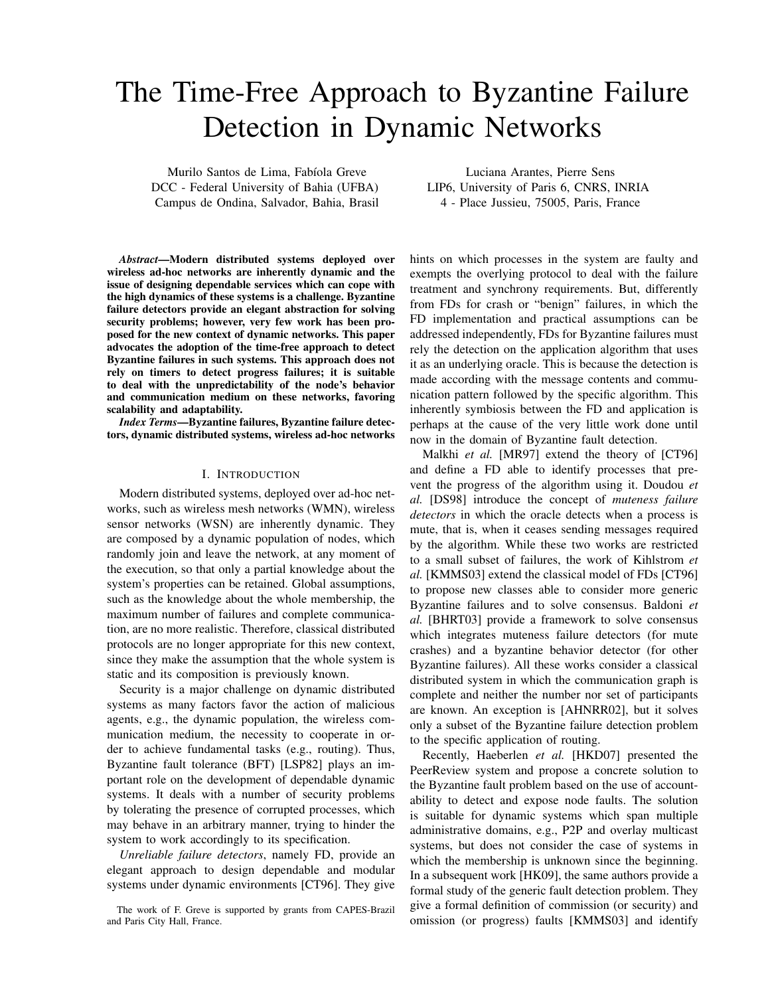# The Time-Free Approach to Byzantine Failure Detection in Dynamic Networks

Murilo Santos de Lima, Fabíola Greve DCC - Federal University of Bahia (UFBA) Campus de Ondina, Salvador, Bahia, Brasil

*Abstract*—Modern distributed systems deployed over wireless ad-hoc networks are inherently dynamic and the issue of designing dependable services which can cope with the high dynamics of these systems is a challenge. Byzantine failure detectors provide an elegant abstraction for solving security problems; however, very few work has been proposed for the new context of dynamic networks. This paper advocates the adoption of the time-free approach to detect Byzantine failures in such systems. This approach does not rely on timers to detect progress failures; it is suitable to deal with the unpredictability of the node's behavior and communication medium on these networks, favoring scalability and adaptability.

*Index Terms*—Byzantine failures, Byzantine failure detectors, dynamic distributed systems, wireless ad-hoc networks

#### I. INTRODUCTION

Modern distributed systems, deployed over ad-hoc networks, such as wireless mesh networks (WMN), wireless sensor networks (WSN) are inherently dynamic. They are composed by a dynamic population of nodes, which randomly join and leave the network, at any moment of the execution, so that only a partial knowledge about the system's properties can be retained. Global assumptions, such as the knowledge about the whole membership, the maximum number of failures and complete communication, are no more realistic. Therefore, classical distributed protocols are no longer appropriate for this new context, since they make the assumption that the whole system is static and its composition is previously known.

Security is a major challenge on dynamic distributed systems as many factors favor the action of malicious agents, e.g., the dynamic population, the wireless communication medium, the necessity to cooperate in order to achieve fundamental tasks (e.g., routing). Thus, Byzantine fault tolerance (BFT) [LSP82] plays an important role on the development of dependable dynamic systems. It deals with a number of security problems by tolerating the presence of corrupted processes, which may behave in an arbitrary manner, trying to hinder the system to work accordingly to its specification.

*Unreliable failure detectors*, namely FD, provide an elegant approach to design dependable and modular systems under dynamic environments [CT96]. They give

Luciana Arantes, Pierre Sens LIP6, University of Paris 6, CNRS, INRIA 4 - Place Jussieu, 75005, Paris, France

hints on which processes in the system are faulty and exempts the overlying protocol to deal with the failure treatment and synchrony requirements. But, differently from FDs for crash or "benign" failures, in which the FD implementation and practical assumptions can be addressed independently, FDs for Byzantine failures must rely the detection on the application algorithm that uses it as an underlying oracle. This is because the detection is made according with the message contents and communication pattern followed by the specific algorithm. This inherently symbiosis between the FD and application is perhaps at the cause of the very little work done until now in the domain of Byzantine fault detection.

Malkhi *et al.* [MR97] extend the theory of [CT96] and define a FD able to identify processes that prevent the progress of the algorithm using it. Doudou *et al.* [DS98] introduce the concept of *muteness failure detectors* in which the oracle detects when a process is mute, that is, when it ceases sending messages required by the algorithm. While these two works are restricted to a small subset of failures, the work of Kihlstrom *et al.* [KMMS03] extend the classical model of FDs [CT96] to propose new classes able to consider more generic Byzantine failures and to solve consensus. Baldoni *et al.* [BHRT03] provide a framework to solve consensus which integrates muteness failure detectors (for mute crashes) and a byzantine behavior detector (for other Byzantine failures). All these works consider a classical distributed system in which the communication graph is complete and neither the number nor set of participants are known. An exception is [AHNRR02], but it solves only a subset of the Byzantine failure detection problem to the specific application of routing.

Recently, Haeberlen *et al.* [HKD07] presented the PeerReview system and propose a concrete solution to the Byzantine fault problem based on the use of accountability to detect and expose node faults. The solution is suitable for dynamic systems which span multiple administrative domains, e.g., P2P and overlay multicast systems, but does not consider the case of systems in which the membership is unknown since the beginning. In a subsequent work [HK09], the same authors provide a formal study of the generic fault detection problem. They give a formal definition of commission (or security) and omission (or progress) faults [KMMS03] and identify

The work of F. Greve is supported by grants from CAPES-Brazil and Paris City Hall, France.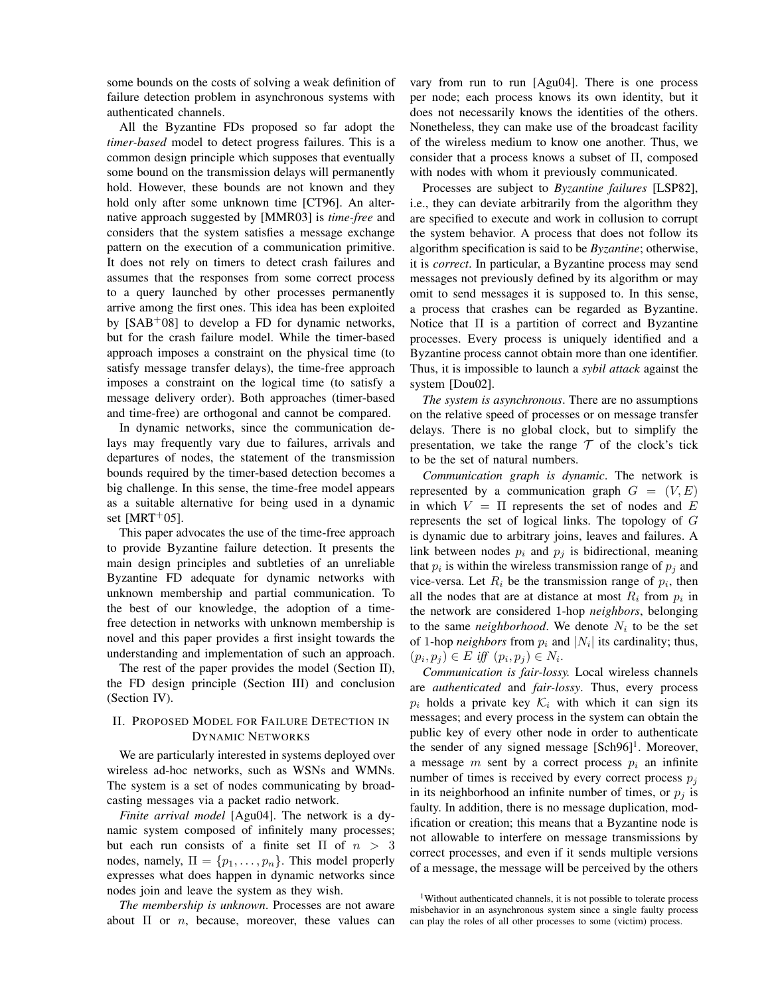some bounds on the costs of solving a weak definition of failure detection problem in asynchronous systems with authenticated channels.

All the Byzantine FDs proposed so far adopt the *timer-based* model to detect progress failures. This is a common design principle which supposes that eventually some bound on the transmission delays will permanently hold. However, these bounds are not known and they hold only after some unknown time [CT96]. An alternative approach suggested by [MMR03] is *time-free* and considers that the system satisfies a message exchange pattern on the execution of a communication primitive. It does not rely on timers to detect crash failures and assumes that the responses from some correct process to a query launched by other processes permanently arrive among the first ones. This idea has been exploited by  $[SAB<sup>+</sup>08]$  to develop a FD for dynamic networks, but for the crash failure model. While the timer-based approach imposes a constraint on the physical time (to satisfy message transfer delays), the time-free approach imposes a constraint on the logical time (to satisfy a message delivery order). Both approaches (timer-based and time-free) are orthogonal and cannot be compared.

In dynamic networks, since the communication delays may frequently vary due to failures, arrivals and departures of nodes, the statement of the transmission bounds required by the timer-based detection becomes a big challenge. In this sense, the time-free model appears as a suitable alternative for being used in a dynamic set  $[MRT+05]$ .

This paper advocates the use of the time-free approach to provide Byzantine failure detection. It presents the main design principles and subtleties of an unreliable Byzantine FD adequate for dynamic networks with unknown membership and partial communication. To the best of our knowledge, the adoption of a timefree detection in networks with unknown membership is novel and this paper provides a first insight towards the understanding and implementation of such an approach.

The rest of the paper provides the model (Section II), the FD design principle (Section III) and conclusion (Section IV).

# II. PROPOSED MODEL FOR FAILURE DETECTION IN DYNAMIC NETWORKS

We are particularly interested in systems deployed over wireless ad-hoc networks, such as WSNs and WMNs. The system is a set of nodes communicating by broadcasting messages via a packet radio network.

*Finite arrival model* [Agu04]. The network is a dynamic system composed of infinitely many processes; but each run consists of a finite set Π of *n >* 3 nodes, namely,  $\Pi = \{p_1, \ldots, p_n\}$ . This model properly expresses what does happen in dynamic networks since nodes join and leave the system as they wish.

*The membership is unknown*. Processes are not aware about  $\Pi$  or *n*, because, moreover, these values can

vary from run to run [Agu04]. There is one process per node; each process knows its own identity, but it does not necessarily knows the identities of the others. Nonetheless, they can make use of the broadcast facility of the wireless medium to know one another. Thus, we consider that a process knows a subset of Π, composed with nodes with whom it previously communicated.

Processes are subject to *Byzantine failures* [LSP82], i.e., they can deviate arbitrarily from the algorithm they are specified to execute and work in collusion to corrupt the system behavior. A process that does not follow its algorithm specification is said to be *Byzantine*; otherwise, it is *correct*. In particular, a Byzantine process may send messages not previously defined by its algorithm or may omit to send messages it is supposed to. In this sense, a process that crashes can be regarded as Byzantine. Notice that Π is a partition of correct and Byzantine processes. Every process is uniquely identified and a Byzantine process cannot obtain more than one identifier. Thus, it is impossible to launch a *sybil attack* against the system [Dou02].

*The system is asynchronous*. There are no assumptions on the relative speed of processes or on message transfer delays. There is no global clock, but to simplify the presentation, we take the range  $T$  of the clock's tick to be the set of natural numbers.

*Communication graph is dynamic*. The network is represented by a communication graph  $G = (V, E)$ in which  $V = \Pi$  represents the set of nodes and *E* represents the set of logical links. The topology of *G* is dynamic due to arbitrary joins, leaves and failures. A link between nodes  $p_i$  and  $p_j$  is bidirectional, meaning that  $p_i$  is within the wireless transmission range of  $p_j$  and vice-versa. Let  $R_i$  be the transmission range of  $p_i$ , then all the nodes that are at distance at most  $R_i$  from  $p_i$  in the network are considered 1-hop *neighbors*, belonging to the same *neighborhood*. We denote  $N_i$  to be the set of 1-hop *neighbors* from  $p_i$  and  $|N_i|$  its cardinality; thus,  $(p_i, p_j) \in E$  *iff*  $(p_i, p_j) \in N_i$ .

*Communication is fair-lossy.* Local wireless channels are *authenticated* and *fair-lossy*. Thus, every process  $p_i$  holds a private key  $K_i$  with which it can sign its messages; and every process in the system can obtain the public key of every other node in order to authenticate the sender of any signed message  $[Sch96]$ <sup>1</sup>. Moreover, a message *m* sent by a correct process *p<sup>i</sup>* an infinite number of times is received by every correct process *p<sup>j</sup>* in its neighborhood an infinite number of times, or *p<sup>j</sup>* is faulty. In addition, there is no message duplication, modification or creation; this means that a Byzantine node is not allowable to interfere on message transmissions by correct processes, and even if it sends multiple versions of a message, the message will be perceived by the others

<sup>&</sup>lt;sup>1</sup>Without authenticated channels, it is not possible to tolerate process misbehavior in an asynchronous system since a single faulty process can play the roles of all other processes to some (victim) process.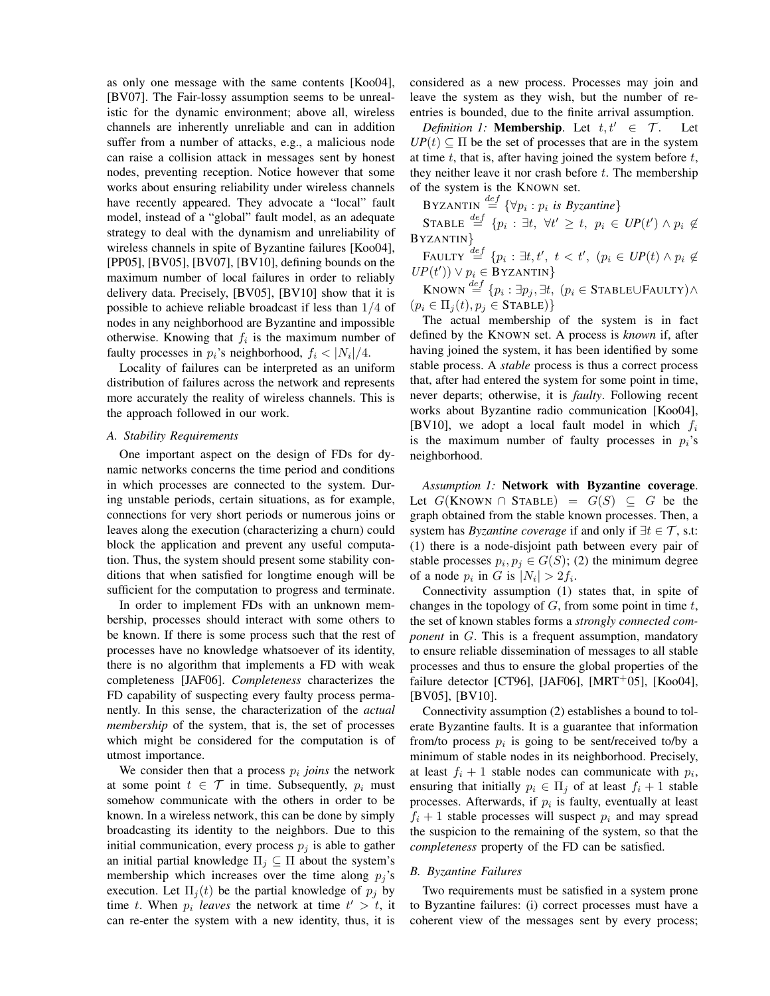as only one message with the same contents [Koo04], [BV07]. The Fair-lossy assumption seems to be unrealistic for the dynamic environment; above all, wireless channels are inherently unreliable and can in addition suffer from a number of attacks, e.g., a malicious node can raise a collision attack in messages sent by honest nodes, preventing reception. Notice however that some works about ensuring reliability under wireless channels have recently appeared. They advocate a "local" fault model, instead of a "global" fault model, as an adequate strategy to deal with the dynamism and unreliability of wireless channels in spite of Byzantine failures [Koo04], [PP05], [BV05], [BV07], [BV10], defining bounds on the maximum number of local failures in order to reliably delivery data. Precisely, [BV05], [BV10] show that it is possible to achieve reliable broadcast if less than 1*/*4 of nodes in any neighborhood are Byzantine and impossible otherwise. Knowing that  $f_i$  is the maximum number of faulty processes in  $p_i$ 's neighborhood,  $f_i < |N_i|/4$ .

Locality of failures can be interpreted as an uniform distribution of failures across the network and represents more accurately the reality of wireless channels. This is the approach followed in our work.

## *A. Stability Requirements*

One important aspect on the design of FDs for dynamic networks concerns the time period and conditions in which processes are connected to the system. During unstable periods, certain situations, as for example, connections for very short periods or numerous joins or leaves along the execution (characterizing a churn) could block the application and prevent any useful computation. Thus, the system should present some stability conditions that when satisfied for longtime enough will be sufficient for the computation to progress and terminate.

In order to implement FDs with an unknown membership, processes should interact with some others to be known. If there is some process such that the rest of processes have no knowledge whatsoever of its identity, there is no algorithm that implements a FD with weak completeness [JAF06]. *Completeness* characterizes the FD capability of suspecting every faulty process permanently. In this sense, the characterization of the *actual membership* of the system, that is, the set of processes which might be considered for the computation is of utmost importance.

We consider then that a process  $p_i$  *joins* the network at some point  $t \in \mathcal{T}$  in time. Subsequently,  $p_i$  must somehow communicate with the others in order to be known. In a wireless network, this can be done by simply broadcasting its identity to the neighbors. Due to this initial communication, every process  $p_i$  is able to gather an initial partial knowledge  $\Pi_j \subseteq \Pi$  about the system's membership which increases over the time along  $p_i$ 's execution. Let  $\Pi_i(t)$  be the partial knowledge of  $p_i$  by time *t*. When  $p_i$  leaves the network at time  $t' > t$ , it can re-enter the system with a new identity, thus, it is

considered as a new process. Processes may join and leave the system as they wish, but the number of reentries is bounded, due to the finite arrival assumption.

*Definition 1:* **Membership**. Let  $t, t' \in \mathcal{T}$ . Let  $UP(t) \subseteq \Pi$  be the set of processes that are in the system at time *t*, that is, after having joined the system before *t*, they neither leave it nor crash before *t*. The membership of the system is the KNOWN set.

 $BYZANTIN \stackrel{def}{=} {\forall p_i : p_i \text{ is } Byzantine}$ 

 $\text{STABLE} \stackrel{def}{=} \{p_i : \exists t, \; \forall t' \geq t, \; p_i \in \textit{UP}(t') \land p_i \notin \textit{V}\}$ BYZANTIN*}*

 $\text{FAULTY} \overset{def}{=} \{p_i: \exists t, t', \ t < t', \ (p_i \in UP(t) \land p_i \notin \mathcal{I}\}$  $UP(t')$ )  $\vee$   $p_i \in BYZANTIN$ }

 $\textsf{KnowN}\overset{def}{=}\{p_i:\exists p_j,\exists t,\ (p_i\in\textsf{STABLE}\cup\textsf{FAULTY})\land$  $(p_i \in \Pi_j(t), p_j \in \text{STABLE})\}$ 

The actual membership of the system is in fact defined by the KNOWN set. A process is *known* if, after having joined the system, it has been identified by some stable process. A *stable* process is thus a correct process that, after had entered the system for some point in time, never departs; otherwise, it is *faulty*. Following recent works about Byzantine radio communication [Koo04], [BV10], we adopt a local fault model in which *f<sup>i</sup>* is the maximum number of faulty processes in  $p_i$ 's neighborhood.

*Assumption 1:* Network with Byzantine coverage.  $Let G(KNOWN ∩ STABLE) = G(S) ⊂ G be the$ graph obtained from the stable known processes. Then, a system has *Byzantine coverage* if and only if *∃t ∈ T* , s.t: (1) there is a node-disjoint path between every pair of stable processes  $p_i, p_j \in G(S)$ ; (2) the minimum degree of a node  $p_i$  in  $G$  is  $|N_i| > 2f_i$ .

Connectivity assumption (1) states that, in spite of changes in the topology of *G*, from some point in time *t*, the set of known stables forms a *strongly connected component* in *G*. This is a frequent assumption, mandatory to ensure reliable dissemination of messages to all stable processes and thus to ensure the global properties of the failure detector [CT96], [JAF06], [MRT+05], [Koo04], [BV05], [BV10].

Connectivity assumption (2) establishes a bound to tolerate Byzantine faults. It is a guarantee that information from/to process  $p_i$  is going to be sent/received to/by a minimum of stable nodes in its neighborhood. Precisely, at least  $f_i + 1$  stable nodes can communicate with  $p_i$ , ensuring that initially  $p_i \in \Pi_j$  of at least  $f_i + 1$  stable processes. Afterwards, if  $p_i$  is faulty, eventually at least  $f_i + 1$  stable processes will suspect  $p_i$  and may spread the suspicion to the remaining of the system, so that the *completeness* property of the FD can be satisfied.

## *B. Byzantine Failures*

Two requirements must be satisfied in a system prone to Byzantine failures: (i) correct processes must have a coherent view of the messages sent by every process;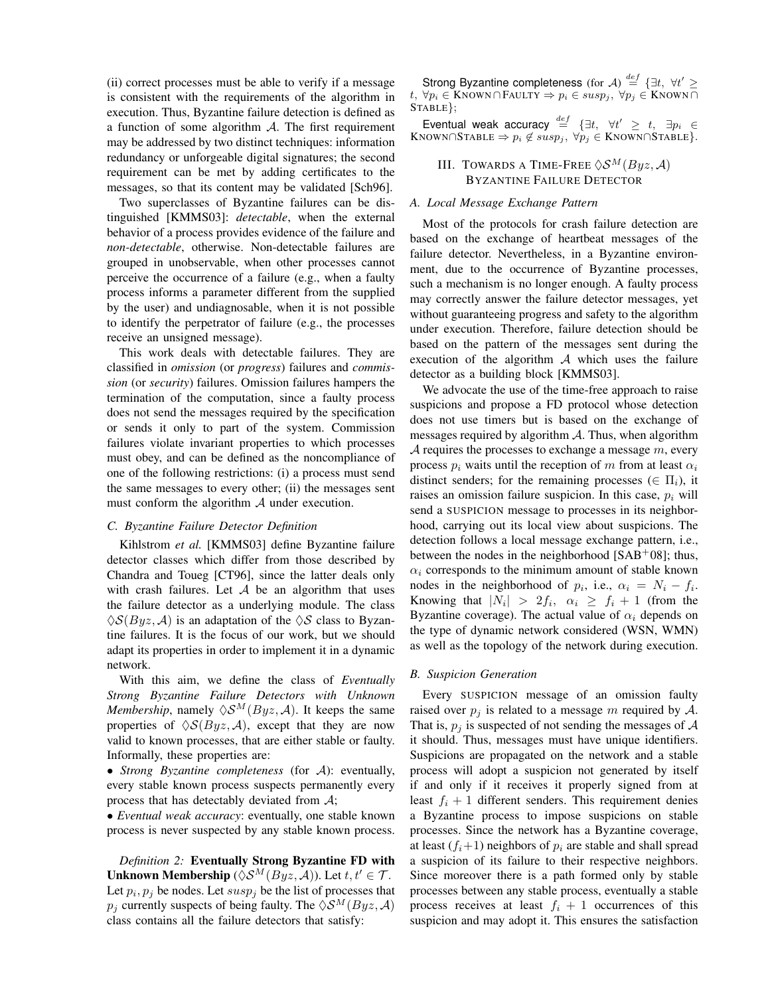(ii) correct processes must be able to verify if a message is consistent with the requirements of the algorithm in execution. Thus, Byzantine failure detection is defined as a function of some algorithm *A*. The first requirement may be addressed by two distinct techniques: information redundancy or unforgeable digital signatures; the second requirement can be met by adding certificates to the messages, so that its content may be validated [Sch96].

Two superclasses of Byzantine failures can be distinguished [KMMS03]: *detectable*, when the external behavior of a process provides evidence of the failure and *non-detectable*, otherwise. Non-detectable failures are grouped in unobservable, when other processes cannot perceive the occurrence of a failure (e.g., when a faulty process informs a parameter different from the supplied by the user) and undiagnosable, when it is not possible to identify the perpetrator of failure (e.g., the processes receive an unsigned message).

This work deals with detectable failures. They are classified in *omission* (or *progress*) failures and *commission* (or *security*) failures. Omission failures hampers the termination of the computation, since a faulty process does not send the messages required by the specification or sends it only to part of the system. Commission failures violate invariant properties to which processes must obey, and can be defined as the noncompliance of one of the following restrictions: (i) a process must send the same messages to every other; (ii) the messages sent must conform the algorithm *A* under execution.

#### *C. Byzantine Failure Detector Definition*

Kihlstrom *et al.* [KMMS03] define Byzantine failure detector classes which differ from those described by Chandra and Toueg [CT96], since the latter deals only with crash failures. Let  $A$  be an algorithm that uses the failure detector as a underlying module. The class  $\Diamond S(Byz, A)$  is an adaptation of the  $\Diamond S$  class to Byzantine failures. It is the focus of our work, but we should adapt its properties in order to implement it in a dynamic network.

With this aim, we define the class of *Eventually Strong Byzantine Failure Detectors with Unknown Membership*, namely  $\Diamond S^M(Byz, A)$ . It keeps the same properties of  $\Diamond S(Byz, A)$ , except that they are now valid to known processes, that are either stable or faulty. Informally, these properties are:

*• Strong Byzantine completeness* (for *A*): eventually, every stable known process suspects permanently every process that has detectably deviated from *A*;

*• Eventual weak accuracy*: eventually, one stable known process is never suspected by any stable known process.

*Definition 2:* Eventually Strong Byzantine FD with Unknown Membership ( $\Diamond S^M(Byz, \mathcal{A})$ ). Let  $t, t' \in \mathcal{T}$ . Let  $p_i, p_j$  be nodes. Let  $susp_j$  be the list of processes that *p*<sup>*j*</sup> currently suspects of being faulty. The  $\Diamond S^M(Byz, \mathcal{A})$ class contains all the failure detectors that satisfy:

Strong Byzantine completeness (for  $\mathcal{A}$ )  $\stackrel{def}{=} \{\exists t, \ \forall t' \geq 0\}$ *t, ∀p<sup>i</sup> ∈* KNOWN *∩*FAULTY *⇒ p<sup>i</sup> ∈ susp<sup>j</sup> , ∀p<sup>j</sup> ∈* KNOWN *∩* STABLE*}*;

 $\exists$  Eventual weak accuracy  $\stackrel{def}{=} \{\exists t, \forall t' \geq t, \exists p_i \in I\}$  $\forall p_j \in$  KNOWN∩STABLE  $\Rightarrow$   $p_i \notin \text{susp}_j$ ,  $\forall p_j \in$  KNOWN∩STABLE}*.* 

# III. TOWARDS A TIME-FREE  $\Diamond S^M(Byz, \mathcal{A})$ BYZANTINE FAILURE DETECTOR

# *A. Local Message Exchange Pattern*

Most of the protocols for crash failure detection are based on the exchange of heartbeat messages of the failure detector. Nevertheless, in a Byzantine environment, due to the occurrence of Byzantine processes, such a mechanism is no longer enough. A faulty process may correctly answer the failure detector messages, yet without guaranteeing progress and safety to the algorithm under execution. Therefore, failure detection should be based on the pattern of the messages sent during the execution of the algorithm  $A$  which uses the failure detector as a building block [KMMS03].

We advocate the use of the time-free approach to raise suspicions and propose a FD protocol whose detection does not use timers but is based on the exchange of messages required by algorithm *A*. Thus, when algorithm *A* requires the processes to exchange a message *m*, every process  $p_i$  waits until the reception of *m* from at least  $\alpha_i$ distinct senders; for the remaining processes ( $\in \Pi_i$ ), it raises an omission failure suspicion. In this case, *p<sup>i</sup>* will send a SUSPICION message to processes in its neighborhood, carrying out its local view about suspicions. The detection follows a local message exchange pattern, i.e., between the nodes in the neighborhood  $[SAB<sup>+</sup>08]$ ; thus,  $\alpha_i$  corresponds to the minimum amount of stable known nodes in the neighborhood of  $p_i$ , i.e.,  $\alpha_i = N_i - f_i$ . Knowing that  $|N_i| > 2f_i$ ,  $\alpha_i \geq f_i + 1$  (from the Byzantine coverage). The actual value of  $\alpha_i$  depends on the type of dynamic network considered (WSN, WMN) as well as the topology of the network during execution.

#### *B. Suspicion Generation*

Every SUSPICION message of an omission faulty raised over  $p_i$  is related to a message m required by  $A$ . That is,  $p_j$  is suspected of not sending the messages of  $A$ it should. Thus, messages must have unique identifiers. Suspicions are propagated on the network and a stable process will adopt a suspicion not generated by itself if and only if it receives it properly signed from at least  $f_i + 1$  different senders. This requirement denies a Byzantine process to impose suspicions on stable processes. Since the network has a Byzantine coverage, at least  $(f_i+1)$  neighbors of  $p_i$  are stable and shall spread a suspicion of its failure to their respective neighbors. Since moreover there is a path formed only by stable processes between any stable process, eventually a stable process receives at least  $f_i + 1$  occurrences of this suspicion and may adopt it. This ensures the satisfaction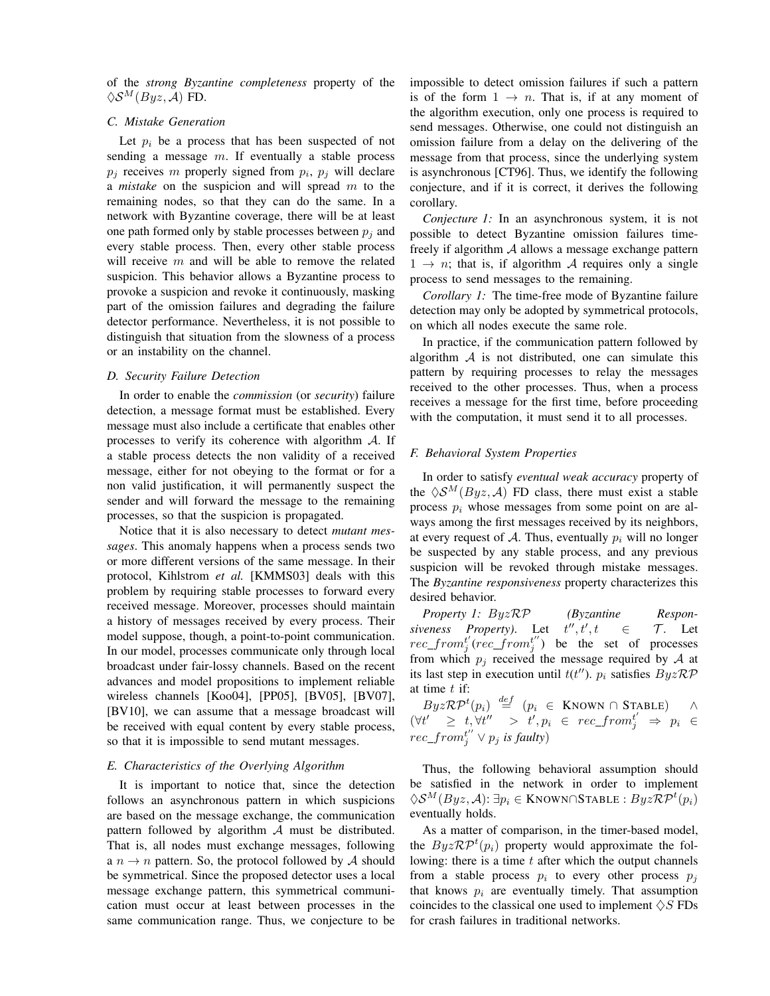of the *strong Byzantine completeness* property of the  $\diamondsuit$ S<sup>*M*</sup>(*Byz*, *A*) FD.

#### *C. Mistake Generation*

Let  $p_i$  be a process that has been suspected of not sending a message *m*. If eventually a stable process  $p_j$  receives *m* properly signed from  $p_i$ ,  $p_j$  will declare a *mistake* on the suspicion and will spread *m* to the remaining nodes, so that they can do the same. In a network with Byzantine coverage, there will be at least one path formed only by stable processes between *p<sup>j</sup>* and every stable process. Then, every other stable process will receive *m* and will be able to remove the related suspicion. This behavior allows a Byzantine process to provoke a suspicion and revoke it continuously, masking part of the omission failures and degrading the failure detector performance. Nevertheless, it is not possible to distinguish that situation from the slowness of a process or an instability on the channel.

#### *D. Security Failure Detection*

In order to enable the *commission* (or *security*) failure detection, a message format must be established. Every message must also include a certificate that enables other processes to verify its coherence with algorithm *A*. If a stable process detects the non validity of a received message, either for not obeying to the format or for a non valid justification, it will permanently suspect the sender and will forward the message to the remaining processes, so that the suspicion is propagated.

Notice that it is also necessary to detect *mutant messages*. This anomaly happens when a process sends two or more different versions of the same message. In their protocol, Kihlstrom *et al.* [KMMS03] deals with this problem by requiring stable processes to forward every received message. Moreover, processes should maintain a history of messages received by every process. Their model suppose, though, a point-to-point communication. In our model, processes communicate only through local broadcast under fair-lossy channels. Based on the recent advances and model propositions to implement reliable wireless channels [Koo04], [PP05], [BV05], [BV07], [BV10], we can assume that a message broadcast will be received with equal content by every stable process, so that it is impossible to send mutant messages.

## *E. Characteristics of the Overlying Algorithm*

It is important to notice that, since the detection follows an asynchronous pattern in which suspicions are based on the message exchange, the communication pattern followed by algorithm *A* must be distributed. That is, all nodes must exchange messages, following a  $n \to n$  pattern. So, the protocol followed by A should be symmetrical. Since the proposed detector uses a local message exchange pattern, this symmetrical communication must occur at least between processes in the same communication range. Thus, we conjecture to be impossible to detect omission failures if such a pattern is of the form  $1 \rightarrow n$ . That is, if at any moment of the algorithm execution, only one process is required to send messages. Otherwise, one could not distinguish an omission failure from a delay on the delivering of the message from that process, since the underlying system is asynchronous [CT96]. Thus, we identify the following conjecture, and if it is correct, it derives the following corollary.

*Conjecture 1:* In an asynchronous system, it is not possible to detect Byzantine omission failures timefreely if algorithm *A* allows a message exchange pattern  $1 \rightarrow n$ ; that is, if algorithm *A* requires only a single process to send messages to the remaining.

*Corollary 1:* The time-free mode of Byzantine failure detection may only be adopted by symmetrical protocols, on which all nodes execute the same role.

In practice, if the communication pattern followed by algorithm *A* is not distributed, one can simulate this pattern by requiring processes to relay the messages received to the other processes. Thus, when a process receives a message for the first time, before proceeding with the computation, it must send it to all processes.

## *F. Behavioral System Properties*

In order to satisfy *eventual weak accuracy* property of the  $\Diamond S^M(Byz, A)$  FD class, there must exist a stable process *p<sup>i</sup>* whose messages from some point on are always among the first messages received by its neighbors, at every request of  $A$ . Thus, eventually  $p_i$  will no longer be suspected by any stable process, and any previous suspicion will be revoked through mistake messages. The *Byzantine responsiveness* property characterizes this desired behavior.

*Property 1: ByzRP (Byzantine Responsiveness Property)*. Let *t ′′, t′ , t ∈ T* . Let  $rec\_from_j^{t'}(rec\_from_j^{t''})$  be the set of processes from which  $p_i$  received the message required by  $A$  at its last step in execution until  $t(t'')$ .  $p_i$  satisfies  $ByzRP$ at time *t* if:

 $Byz\mathcal{RP}^t(p_i) \stackrel{def}{=} (p_i \in \text{KNOWN} \cap \text{STABLE}) \longrightarrow$  $(\forall t' \geq t, \forall t'' > t', p_i \in rec\_from^{t'}_j \Rightarrow p_i \in c$  $rec\_from_j^{t''} \vee p_j$  *is faulty*)

Thus, the following behavioral assumption should be satisfied in the network in order to implement  $\Diamond\mathcal{S}^M(Byz,\mathcal{A})$ :  $\exists p_i\in\texttt{KNOWN}\cap\texttt{STABLE}:Byz\bar{\mathcal{RP}}^t(p_i)$ eventually holds.

As a matter of comparison, in the timer-based model, the  $Byz\mathcal{RP}^t(p_i)$  property would approximate the following: there is a time *t* after which the output channels from a stable process  $p_i$  to every other process  $p_j$ that knows  $p_i$  are eventually timely. That assumption coincides to the classical one used to implement *♢S* FDs for crash failures in traditional networks.